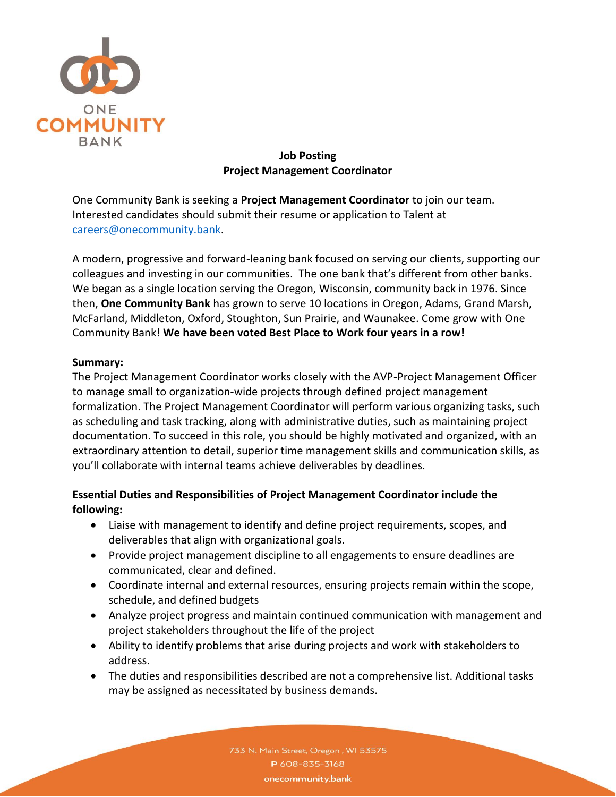

### **Job Posting Project Management Coordinator**

One Community Bank is seeking a **Project Management Coordinator** to join our team. Interested candidates should submit their resume or application to Talent at [careers@onecommunity.bank.](mailto:careers@onecommunity.bank)

A modern, progressive and forward-leaning bank focused on serving our clients, supporting our colleagues and investing in our communities. The one bank that's different from other banks. We began as a single location serving the Oregon, Wisconsin, community back in 1976. Since then, **One Community Bank** has grown to serve 10 locations in Oregon, Adams, Grand Marsh, McFarland, Middleton, Oxford, Stoughton, Sun Prairie, and Waunakee. Come grow with One Community Bank! **We have been voted Best Place to Work four years in a row!**

### **Summary:**

The Project Management Coordinator works closely with the AVP-Project Management Officer to manage small to organization-wide projects through defined project management formalization. The Project Management Coordinator will perform various organizing tasks, such as scheduling and task tracking, along with administrative duties, such as maintaining project documentation. To succeed in this role, you should be highly motivated and organized, with an extraordinary attention to detail, superior time management skills and communication skills, as you'll collaborate with internal teams achieve deliverables by deadlines.

# **Essential Duties and Responsibilities of Project Management Coordinator include the following:**

- Liaise with management to identify and define project requirements, scopes, and deliverables that align with organizational goals.
- Provide project management discipline to all engagements to ensure deadlines are communicated, clear and defined.
- Coordinate internal and external resources, ensuring projects remain within the scope, schedule, and defined budgets
- Analyze project progress and maintain continued communication with management and project stakeholders throughout the life of the project
- Ability to identify problems that arise during projects and work with stakeholders to address.
- The duties and responsibilities described are not a comprehensive list. Additional tasks may be assigned as necessitated by business demands.

733 N. Main Street, Oregon, WI 53575 P 608-835-3168 onecommunity.bank